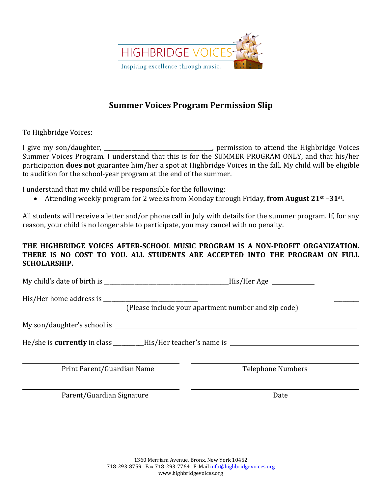

## **Summer Voices Program Permission Slip**

To Highbridge Voices:

I give my son/daughter, \_\_\_\_\_\_\_\_\_\_\_\_\_\_\_\_\_\_\_\_\_\_\_\_\_\_\_\_\_\_\_\_\_, permission to attend the Highbridge Voices Summer Voices Program. I understand that this is for the SUMMER PROGRAM ONLY, and that his/her participation **does not** guarantee him/her a spot at Highbridge Voices in the fall. My child will be eligible to audition for the school-year program at the end of the summer.

I understand that my child will be responsible for the following:

• Attending weekly program for 2 weeks from Monday through Friday, **from August 21st –31st.** 

All students will receive a letter and/or phone call in July with details for the summer program. If, for any reason, your child is no longer able to participate, you may cancel with no penalty.

## **THE HIGHBRIDGE VOICES AFTER-SCHOOL MUSIC PROGRAM IS A NON-PROFIT ORGANIZATION. THERE IS NO COST TO YOU. ALL STUDENTS ARE ACCEPTED INTO THE PROGRAM ON FULL SCHOLARSHIP.**

My child's date of birth is \_\_\_\_\_\_\_\_\_\_\_\_\_\_\_\_\_\_\_\_\_\_\_\_\_\_\_\_\_\_\_\_\_\_\_\_\_\_\_\_\_\_\_\_\_His/Her Age

His/Her home address is **Example 20** 

(Please include your apartment number and zip code)

My son/daughter's school is \_\_\_\_\_\_\_\_\_\_\_\_\_\_\_\_\_\_\_\_\_\_\_\_

He/she is **currently** in class \_\_\_\_\_\_\_\_\_\_\_His/Her teacher's name is

Print Parent/Guardian Name Telephone Numbers

Parent/Guardian Signature Date